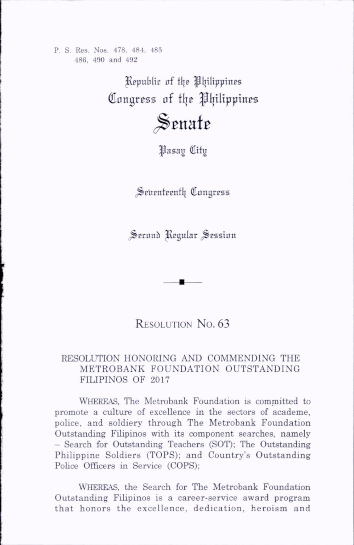P. S. Res. Nos. 478, 484, 485 486, 490 and 492

> ^Republic of tl|c ^Ijilippines Congress of the Philippines

> > Senate

^asay City

Seventeenth Congress

Second Regular Session

## RESOLUTION No. 63

## RESOLUTION HONORING AND COMMENDING THE METROBANK FOUNDATION OUTSTANDING FILIPINOS OF 2017

Whereas, The Metrobank Foundation is committed to promote a culture of excellence in the sectors of academe, police, and soldiery through The Metrobank Foundation Outstanding Filipinos with its component searches, namely - Search for Outstanding Teachers (SOT); The Outstanding Philippine Soldiers (TOPS); and Country's Outstanding Police Officers in Service (COPS);

Whereas, the Search for The Metrobank Foundation Outstanding Filipinos is a career-service award program that honors the excellence, dedication, heroism and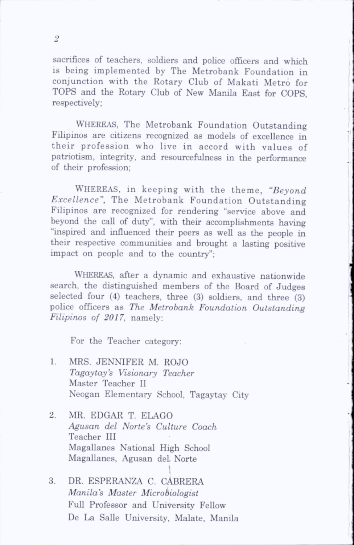sacrifices of teachers, soldiers and police officers and which is being implemented by The Metrobank Foundation in conjunction with the Rotary Club of Makati Metro for TOPS and the Rotary Club of New Manila East for COPS, respectively;

Whereas, The Metrobank Foundation Outstanding Filipinos are citizens recognized as models of excellence in their profession who live in accord with values of patriotism, integrity, and resourcefulness in the performance of their profession;

WHEREAS, in keeping with the theme, "Beyond Excellence", The Metrobank Foundation Outstanding Filipinos are recognized for rendering "service above and beyond the call of duty", with their accomplishments having "inspired and influenced their peers as well as the people in their respective communities and brought a lasting positive impact on people and to the country";

WHEREAS, after a dynamic and exhaustive nationwide search, the distinguished members of the Board of Judges selected four (4) teachers, three (3) soldiers, and three (3) police officers as The Metrobank Foundation Outstanding Filipinos of 2017, namely;

For the Teacher category:

- 1. MRS. JENNIFER M. ROJO Tagaytoy's Visionary Teacher Master Teacher II Neogan Elementary School, Tagaytay City
- 2. MR. EDGAR T. ELAGO Agusan del Norte's Culture Coach Teacher III Magallanes National High School Magallanes, Agusan del Norte
- 3. DR. ESPERANZA C. CABRERA Manila's Master Microbiologist Full Professor and University Fellow De La SaUe University, Malate, Manila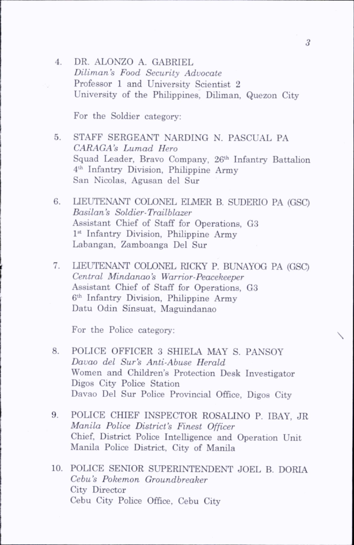4. DR. ALONZO A. GABRIEL Diliman's Food Security Advocate Professor 1 and University Scientist 2 University of the Philippines, Dihman, Quezon City

For the Soldier category:

- 5. STAFF SERGEANT NARDING N. PASCUAL PA CARAGA's Lumad Hero Squad Leader, Bravo Company, 26th Infantry Battalion 4th Infantry Division, Phihppine Army San Nicolas, Agusan del Sur
- 6. LIEUTENANT COLONEL ELMER B. SUDERIO PA (GSC) Basilan's Soldier-Trailblazer Assistant Chief of Staff for Operations, G3 1<sup>st</sup> Infantry Division, Philippine Army Labangan, Zamboanga Del Sur
- 7. LIEUTENANT COLONEL RICKY P. BUNAYOG PA (GSC) Central Mindanao's Warrior-Peacekeeper Assistant Chief of Staff for Operations, G3 6th Infantry Division, Philippine Army Datu Odin Sinsuat, Maguindanao

For the Police category:

- 8. POLICE OFFICER 3 SHIELA MAY S. PANSOY Davao del Sur's Anti-Abuse Herald Women and Children's Protection Desk Investigator Digos City Police Station Davao Del Sur Police Provincial Office, Digos City
- 9. POLICE CHIEF INSPECTOR ROSALINO P. IBAY, JR Manila Police District's Finest Officer Chief, District Police Intelligence and Operation Unit Manila Police District, City of Manila
- 10. POLICE SENIOR SUPERINTENDENT JOEL B. DORIA Cebu's Pokemon Groundbreaker City Director Cebu City Police Office, Cebu City

 $\overline{\phantom{a}}$